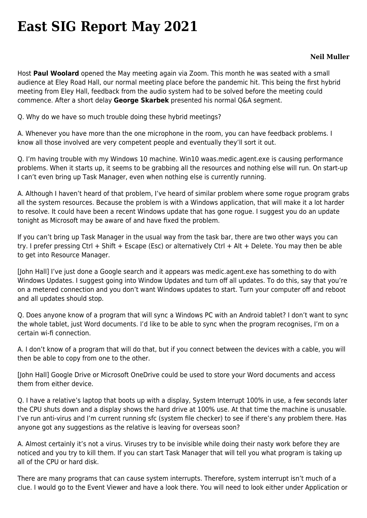## **[East SIG Report May 2021](https://www.melbpc.org.au/east-sig-report-may-2021/)**

## **Neil Muller**

Host **Paul Woolard** opened the May meeting again via Zoom. This month he was seated with a small audience at Eley Road Hall, our normal meeting place before the pandemic hit. This being the first hybrid meeting from Eley Hall, feedback from the audio system had to be solved before the meeting could commence. After a short delay **George Skarbek** presented his normal Q&A segment.

Q. Why do we have so much trouble doing these hybrid meetings?

A. Whenever you have more than the one microphone in the room, you can have feedback problems. I know all those involved are very competent people and eventually they'll sort it out.

Q. I'm having trouble with my Windows 10 machine. Win10 waas.medic.agent.exe is causing performance problems. When it starts up, it seems to be grabbing all the resources and nothing else will run. On start-up I can't even bring up Task Manager, even when nothing else is currently running.

A. Although I haven't heard of that problem, I've heard of similar problem where some rogue program grabs all the system resources. Because the problem is with a Windows application, that will make it a lot harder to resolve. It could have been a recent Windows update that has gone rogue. I suggest you do an update tonight as Microsoft may be aware of and have fixed the problem.

If you can't bring up Task Manager in the usual way from the task bar, there are two other ways you can try. I prefer pressing Ctrl + Shift + Escape (Esc) or alternatively Ctrl + Alt + Delete. You may then be able to get into Resource Manager.

[John Hall] I've just done a Google search and it appears was medic.agent.exe has something to do with Windows Updates. I suggest going into Window Updates and turn off all updates. To do this, say that you're on a metered connection and you don't want Windows updates to start. Turn your computer off and reboot and all updates should stop.

Q. Does anyone know of a program that will sync a Windows PC with an Android tablet? I don't want to sync the whole tablet, just Word documents. I'd like to be able to sync when the program recognises, I'm on a certain wi-fi connection.

A. I don't know of a program that will do that, but if you connect between the devices with a cable, you will then be able to copy from one to the other.

[John Hall] Google Drive or Microsoft OneDrive could be used to store your Word documents and access them from either device.

Q. I have a relative's laptop that boots up with a display, System Interrupt 100% in use, a few seconds later the CPU shuts down and a display shows the hard drive at 100% use. At that time the machine is unusable. I've run anti-virus and I'm current running sfc (system file checker) to see if there's any problem there. Has anyone got any suggestions as the relative is leaving for overseas soon?

A. Almost certainly it's not a virus. Viruses try to be invisible while doing their nasty work before they are noticed and you try to kill them. If you can start Task Manager that will tell you what program is taking up all of the CPU or hard disk.

There are many programs that can cause system interrupts. Therefore, system interrupt isn't much of a clue. I would go to the Event Viewer and have a look there. You will need to look either under Application or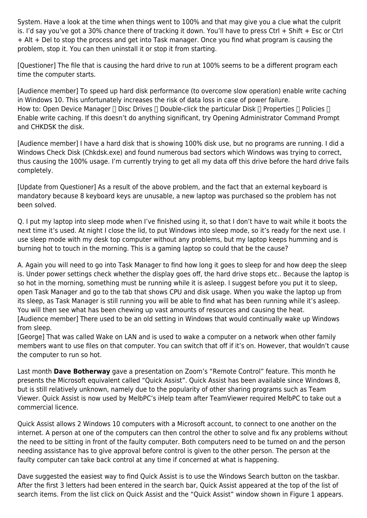System. Have a look at the time when things went to 100% and that may give you a clue what the culprit is. I'd say you've got a 30% chance there of tracking it down. You'll have to press Ctrl + Shift + Esc or Ctrl + Alt + Del to stop the process and get into Task manager. Once you find what program is causing the problem, stop it. You can then uninstall it or stop it from starting.

[Questioner] The file that is causing the hard drive to run at 100% seems to be a different program each time the computer starts.

[Audience member] To speed up hard disk performance (to overcome slow operation) enable write caching in Windows 10. This unfortunately increases the risk of data loss in case of power failure. How to: Open Device Manager  $\Box$  Disc Drives  $\Box$  Double-click the particular Disk  $\Box$  Properties  $\Box$  Policies  $\Box$ Enable write caching. If this doesn't do anything significant, try Opening Administrator Command Prompt and CHKDSK the disk.

[Audience member] I have a hard disk that is showing 100% disk use, but no programs are running. I did a Windows Check Disk (Chkdsk.exe) and found numerous bad sectors which Windows was trying to correct, thus causing the 100% usage. I'm currently trying to get all my data off this drive before the hard drive fails completely.

[Update from Questioner] As a result of the above problem, and the fact that an external keyboard is mandatory because 8 keyboard keys are unusable, a new laptop was purchased so the problem has not been solved.

Q. I put my laptop into sleep mode when I've finished using it, so that I don't have to wait while it boots the next time it's used. At night I close the lid, to put Windows into sleep mode, so it's ready for the next use. I use sleep mode with my desk top computer without any problems, but my laptop keeps humming and is burning hot to touch in the morning. This is a gaming laptop so could that be the cause?

A. Again you will need to go into Task Manager to find how long it goes to sleep for and how deep the sleep is. Under power settings check whether the display goes off, the hard drive stops etc.. Because the laptop is so hot in the morning, something must be running while it is asleep. I suggest before you put it to sleep, open Task Manager and go to the tab that shows CPU and disk usage. When you wake the laptop up from its sleep, as Task Manager is still running you will be able to find what has been running while it's asleep. You will then see what has been chewing up vast amounts of resources and causing the heat. [Audience member] There used to be an old setting in Windows that would continually wake up Windows from sleep.

[George] That was called Wake on LAN and is used to wake a computer on a network when other family members want to use files on that computer. You can switch that off if it's on. However, that wouldn't cause the computer to run so hot.

Last month **Dave Botherway** gave a presentation on Zoom's "Remote Control" feature. This month he presents the Microsoft equivalent called "Quick Assist". Quick Assist has been available since Windows 8, but is still relatively unknown, namely due to the popularity of other sharing programs such as Team Viewer. Quick Assist is now used by MelbPC's iHelp team after TeamViewer required MelbPC to take out a commercial licence.

Quick Assist allows 2 Windows 10 computers with a Microsoft account, to connect to one another on the internet. A person at one of the computers can then control the other to solve and fix any problems without the need to be sitting in front of the faulty computer. Both computers need to be turned on and the person needing assistance has to give approval before control is given to the other person. The person at the faulty computer can take back control at any time if concerned at what is happening.

Dave suggested the easiest way to find Quick Assist is to use the Windows Search button on the taskbar. After the first 3 letters had been entered in the search bar, Quick Assist appeared at the top of the list of search items. From the list click on Quick Assist and the "Quick Assist" window shown in Figure 1 appears.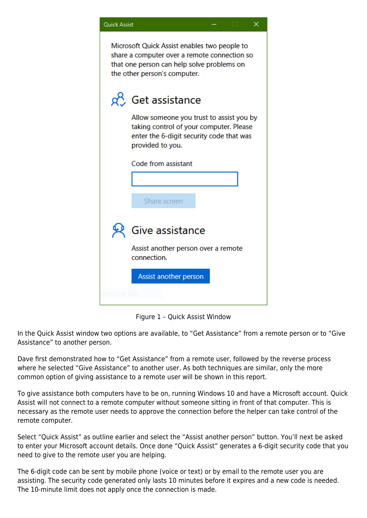| <b>Quick Assist</b><br>x                                                                                                                                                   |                                                                                                                                                     |
|----------------------------------------------------------------------------------------------------------------------------------------------------------------------------|-----------------------------------------------------------------------------------------------------------------------------------------------------|
| Microsoft Quick Assist enables two people to<br>share a computer over a remote connection so<br>that one person can help solve problems on<br>the other person's computer. |                                                                                                                                                     |
|                                                                                                                                                                            | od Get assistance                                                                                                                                   |
|                                                                                                                                                                            | Allow someone you trust to assist you by<br>taking control of your computer. Please<br>enter the 6-digit security code that was<br>provided to you. |
|                                                                                                                                                                            | Code from assistant                                                                                                                                 |
|                                                                                                                                                                            |                                                                                                                                                     |
|                                                                                                                                                                            | Share screen                                                                                                                                        |
|                                                                                                                                                                            | Give assistance                                                                                                                                     |
|                                                                                                                                                                            | Assist another person over a remote<br>connection.                                                                                                  |
|                                                                                                                                                                            | Assist another person                                                                                                                               |
|                                                                                                                                                                            |                                                                                                                                                     |

Figure 1 – Quick Assist Window

In the Quick Assist window two options are available, to "Get Assistance" from a remote person or to "Give Assistance" to another person.

Dave first demonstrated how to "Get Assistance" from a remote user, followed by the reverse process where he selected "Give Assistance" to another user. As both techniques are similar, only the more common option of giving assistance to a remote user will be shown in this report.

To give assistance both computers have to be on, running Windows 10 and have a Microsoft account. Quick Assist will not connect to a remote computer without someone sitting in front of that computer. This is necessary as the remote user needs to approve the connection before the helper can take control of the remote computer.

Select "Quick Assist" as outline earlier and select the "Assist another person" button. You'll next be asked to enter your Microsoft account details. Once done "Quick Assist" generates a 6-digit security code that you need to give to the remote user you are helping.

The 6-digit code can be sent by mobile phone (voice or text) or by email to the remote user you are assisting. The security code generated only lasts 10 minutes before it expires and a new code is needed. The 10-minute limit does not apply once the connection is made.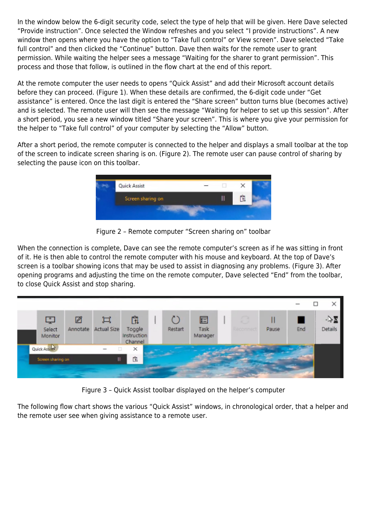In the window below the 6-digit security code, select the type of help that will be given. Here Dave selected "Provide instruction". Once selected the Window refreshes and you select "I provide instructions". A new window then opens where you have the option to "Take full control" or View screen". Dave selected "Take full control" and then clicked the "Continue" button. Dave then waits for the remote user to grant permission. While waiting the helper sees a message "Waiting for the sharer to grant permission". This process and those that follow, is outlined in the flow chart at the end of this report.

At the remote computer the user needs to opens "Quick Assist" and add their Microsoft account details before they can proceed. (Figure 1). When these details are confirmed, the 6-digit code under "Get assistance" is entered. Once the last digit is entered the "Share screen" button turns blue (becomes active) and is selected. The remote user will then see the message "Waiting for helper to set up this session". After a short period, you see a new window titled "Share your screen". This is where you give your permission for the helper to "Take full control" of your computer by selecting the "Allow" button.

After a short period, the remote computer is connected to the helper and displays a small toolbar at the top of the screen to indicate screen sharing is on. (Figure 2). The remote user can pause control of sharing by selecting the pause icon on this toolbar.



Figure 2 – Remote computer "Screen sharing on" toolbar

When the connection is complete, Dave can see the remote computer's screen as if he was sitting in front of it. He is then able to control the remote computer with his mouse and keyboard. At the top of Dave's screen is a toolbar showing icons that may be used to assist in diagnosing any problems. (Figure 3). After opening programs and adjusting the time on the remote computer, Dave selected "End" from the toolbar, to close Quick Assist and stop sharing.



Figure 3 – Quick Assist toolbar displayed on the helper's computer

The following flow chart shows the various "Quick Assist" windows, in chronological order, that a helper and the remote user see when giving assistance to a remote user.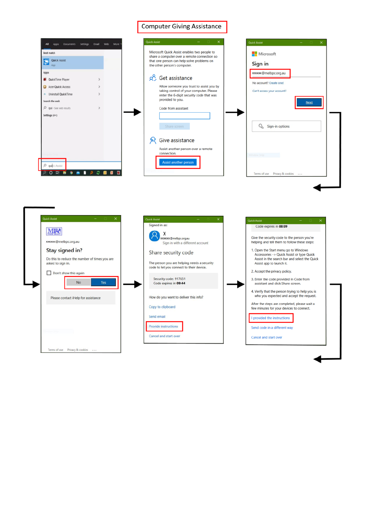## **Computer Giving Assistance**

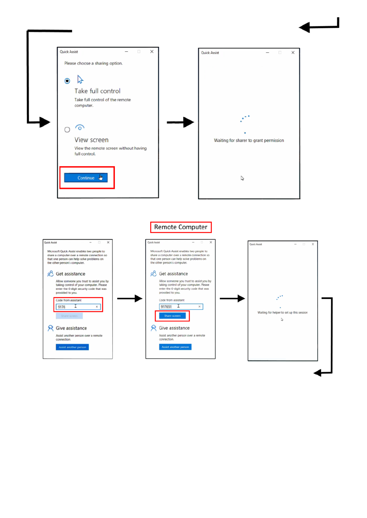

I